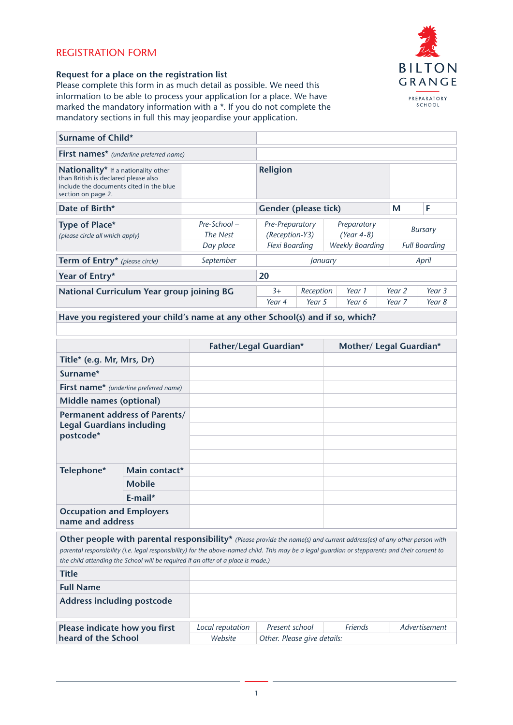# REGISTRATION FORM



## **Request for a place on the registration list**

Please complete this form in as much detail as possible. We need this information to be able to process your application for a place. We have marked the mandatory information with a \*. If you do not complete the mandatory sections in full this may jeopardise your application.

| <b>Surname of Child*</b>                                                                                                                     |                             |                                   |                             |                        |                             |                      |                |        |
|----------------------------------------------------------------------------------------------------------------------------------------------|-----------------------------|-----------------------------------|-----------------------------|------------------------|-----------------------------|----------------------|----------------|--------|
| <b>First names*</b> (underline preferred name)                                                                                               |                             |                                   |                             |                        |                             |                      |                |        |
| Nationality* If a nationality other<br>than British is declared please also<br>include the documents cited in the blue<br>section on page 2. |                             | <b>Religion</b>                   |                             |                        |                             |                      |                |        |
| Date of Birth*                                                                                                                               |                             |                                   | <b>Gender (please tick)</b> |                        |                             | М                    | F              |        |
| Type of Place*<br>(please circle all which apply)                                                                                            | $Pre-School -$<br>The Nest  | Pre-Preparatory<br>(Reception-Y3) |                             |                        | Preparatory<br>$(Year 4-8)$ |                      | <b>Bursary</b> |        |
|                                                                                                                                              | Day place<br>Flexi Boarding |                                   |                             | <b>Weekly Boarding</b> |                             | <b>Full Boarding</b> |                |        |
| <b>Term of Entry*</b> (please circle)                                                                                                        | September                   |                                   | January                     |                        |                             | April                |                |        |
| 20<br>Year of Entry*                                                                                                                         |                             |                                   |                             |                        |                             |                      |                |        |
| National Curriculum Year group joining BG                                                                                                    |                             | $3+$                              | Reception                   |                        | Year 1                      |                      | Year 2         | Year 3 |
|                                                                                                                                              |                             | Year 4                            | Year 5                      |                        | Year 6                      |                      | Year 7         | Year 8 |

**Have you registered your child's name at any other School(s) and if so, which?**

|                                                                                                                                                                                                                                                                                                                                                                |               | <b>Father/Legal Guardian*</b> | Mother/ Legal Guardian* |  |
|----------------------------------------------------------------------------------------------------------------------------------------------------------------------------------------------------------------------------------------------------------------------------------------------------------------------------------------------------------------|---------------|-------------------------------|-------------------------|--|
| Title* (e.g. Mr, Mrs, Dr)                                                                                                                                                                                                                                                                                                                                      |               |                               |                         |  |
| Surname*                                                                                                                                                                                                                                                                                                                                                       |               |                               |                         |  |
| First name* (underline preferred name)                                                                                                                                                                                                                                                                                                                         |               |                               |                         |  |
| Middle names (optional)                                                                                                                                                                                                                                                                                                                                        |               |                               |                         |  |
| Permanent address of Parents/<br><b>Legal Guardians including</b><br>postcode*                                                                                                                                                                                                                                                                                 |               |                               |                         |  |
| Telephone*                                                                                                                                                                                                                                                                                                                                                     | Main contact* |                               |                         |  |
|                                                                                                                                                                                                                                                                                                                                                                | <b>Mobile</b> |                               |                         |  |
|                                                                                                                                                                                                                                                                                                                                                                | F-mail*       |                               |                         |  |
| <b>Occupation and Employers</b><br>name and address                                                                                                                                                                                                                                                                                                            |               |                               |                         |  |
| Other people with parental responsibility* (Please provide the name(s) and current address(es) of any other person with<br>parental responsibility (i.e. legal responsibility) for the above-named child. This may be a legal guardian or stepparents and their consent to<br>the child attending the School will be required if an offer of a place is made.) |               |                               |                         |  |
| <b>Title</b>                                                                                                                                                                                                                                                                                                                                                   |               |                               |                         |  |
| <b>Full Name</b>                                                                                                                                                                                                                                                                                                                                               |               |                               |                         |  |
| <b>Address including postcode</b>                                                                                                                                                                                                                                                                                                                              |               |                               |                         |  |

| Please indicate how you first | Local reputation | Present school              | <b>Friends</b> | Advertisement |
|-------------------------------|------------------|-----------------------------|----------------|---------------|
| heard of the School           | Website          | Other. Please give details: |                |               |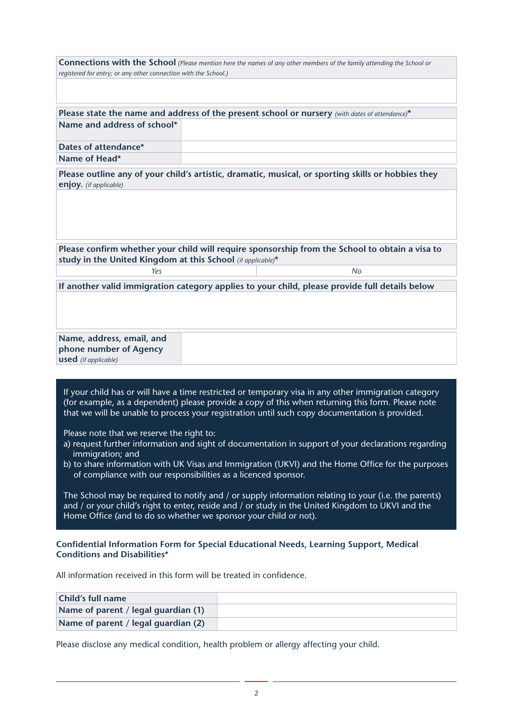| <b>Connections with the School</b> (Please mention here the names of any other members of the family attending the School or |                                                                                                                                                                                                           |  |  |  |  |
|------------------------------------------------------------------------------------------------------------------------------|-----------------------------------------------------------------------------------------------------------------------------------------------------------------------------------------------------------|--|--|--|--|
| registered for entry; or any other connection with the School.)                                                              |                                                                                                                                                                                                           |  |  |  |  |
|                                                                                                                              |                                                                                                                                                                                                           |  |  |  |  |
|                                                                                                                              |                                                                                                                                                                                                           |  |  |  |  |
| Name and address of school*                                                                                                  | Please state the name and address of the present school or nursery (with dates of attendance)*                                                                                                            |  |  |  |  |
|                                                                                                                              |                                                                                                                                                                                                           |  |  |  |  |
| Dates of attendance*                                                                                                         |                                                                                                                                                                                                           |  |  |  |  |
| Name of Head*                                                                                                                |                                                                                                                                                                                                           |  |  |  |  |
|                                                                                                                              | Please outline any of your child's artistic, dramatic, musical, or sporting skills or hobbies they                                                                                                        |  |  |  |  |
| enjoy. (if applicable)                                                                                                       |                                                                                                                                                                                                           |  |  |  |  |
|                                                                                                                              |                                                                                                                                                                                                           |  |  |  |  |
|                                                                                                                              |                                                                                                                                                                                                           |  |  |  |  |
|                                                                                                                              |                                                                                                                                                                                                           |  |  |  |  |
|                                                                                                                              |                                                                                                                                                                                                           |  |  |  |  |
|                                                                                                                              | Please confirm whether your child will require sponsorship from the School to obtain a visa to                                                                                                            |  |  |  |  |
| study in the United Kingdom at this School (if applicable)*                                                                  |                                                                                                                                                                                                           |  |  |  |  |
| Yes                                                                                                                          | N <sub>0</sub>                                                                                                                                                                                            |  |  |  |  |
|                                                                                                                              | If another valid immigration category applies to your child, please provide full details below                                                                                                            |  |  |  |  |
|                                                                                                                              |                                                                                                                                                                                                           |  |  |  |  |
|                                                                                                                              |                                                                                                                                                                                                           |  |  |  |  |
|                                                                                                                              |                                                                                                                                                                                                           |  |  |  |  |
| Name, address, email, and                                                                                                    |                                                                                                                                                                                                           |  |  |  |  |
| phone number of Agency                                                                                                       |                                                                                                                                                                                                           |  |  |  |  |
| <b>used</b> (if applicable)                                                                                                  |                                                                                                                                                                                                           |  |  |  |  |
|                                                                                                                              |                                                                                                                                                                                                           |  |  |  |  |
|                                                                                                                              | If your child has or will have a time restricted or temporary visa in any other immigration category                                                                                                      |  |  |  |  |
|                                                                                                                              | (for example, as a dependent) please provide a copy of this when returning this form. Please note                                                                                                         |  |  |  |  |
|                                                                                                                              | that we will be unable to process your registration until such copy documentation is provided.                                                                                                            |  |  |  |  |
|                                                                                                                              |                                                                                                                                                                                                           |  |  |  |  |
| Please note that we reserve the right to:                                                                                    |                                                                                                                                                                                                           |  |  |  |  |
| a) request further information and sight of documentation in support of your declarations regarding<br>immigration; and      |                                                                                                                                                                                                           |  |  |  |  |
| b) to share information with UK Visas and Immigration (UKVI) and the Home Office for the purposes                            |                                                                                                                                                                                                           |  |  |  |  |
|                                                                                                                              | of compliance with our responsibilities as a licenced sponsor.                                                                                                                                            |  |  |  |  |
|                                                                                                                              |                                                                                                                                                                                                           |  |  |  |  |
|                                                                                                                              | The School may be required to notify and / or supply information relating to your (i.e. the parents)<br>and / or your child's right to enter, reside and / or study in the United Kingdom to UKVI and the |  |  |  |  |
|                                                                                                                              | Home Office (and to do so whether we sponsor your child or not).                                                                                                                                          |  |  |  |  |
|                                                                                                                              |                                                                                                                                                                                                           |  |  |  |  |
|                                                                                                                              | Confidential Information Form for Special Educational Needs, Learning Support, Medical                                                                                                                    |  |  |  |  |
| <b>Conditions and Disabilities*</b>                                                                                          |                                                                                                                                                                                                           |  |  |  |  |
|                                                                                                                              |                                                                                                                                                                                                           |  |  |  |  |
|                                                                                                                              | All information received in this form will be treated in confidence.                                                                                                                                      |  |  |  |  |
|                                                                                                                              |                                                                                                                                                                                                           |  |  |  |  |
| Child's full name                                                                                                            |                                                                                                                                                                                                           |  |  |  |  |
| Name of parent / legal guardian (1)                                                                                          |                                                                                                                                                                                                           |  |  |  |  |
| Name of parent / legal guardian (2)                                                                                          |                                                                                                                                                                                                           |  |  |  |  |
|                                                                                                                              |                                                                                                                                                                                                           |  |  |  |  |
|                                                                                                                              | Please disclose any medical condition, health problem or allergy affecting your child.                                                                                                                    |  |  |  |  |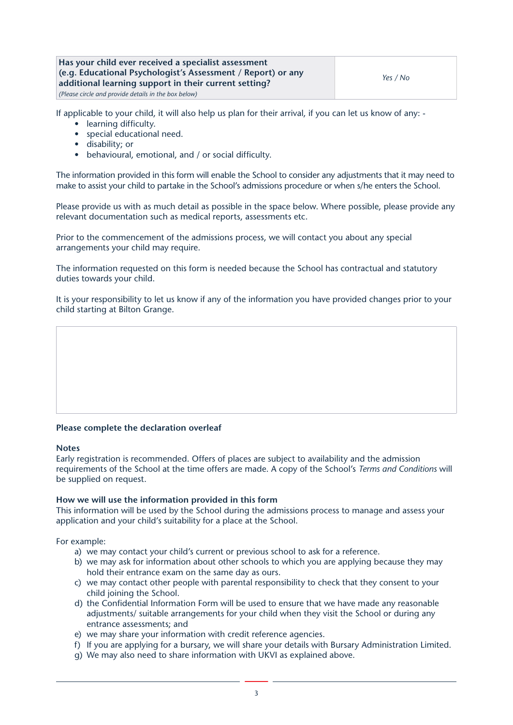## **Has your child ever received a specialist assessment (e.g. Educational Psychologist's Assessment / Report) or any additional learning support in their current setting?**

*(Please circle and provide details in the box below)*

If applicable to your child, it will also help us plan for their arrival, if you can let us know of any: -

- learning difficulty.
- special educational need.
- disability; or
- behavioural, emotional, and / or social difficulty.

The information provided in this form will enable the School to consider any adjustments that it may need to make to assist your child to partake in the School's admissions procedure or when s/he enters the School.

Please provide us with as much detail as possible in the space below. Where possible, please provide any relevant documentation such as medical reports, assessments etc.

Prior to the commencement of the admissions process, we will contact you about any special arrangements your child may require.

The information requested on this form is needed because the School has contractual and statutory duties towards your child.

It is your responsibility to let us know if any of the information you have provided changes prior to your child starting at Bilton Grange.

## **Please complete the declaration overleaf**

#### **Notes**

Early registration is recommended. Offers of places are subject to availability and the admission requirements of the School at the time offers are made. A copy of the School's *Terms and Conditions* will be supplied on request.

#### **How we will use the information provided in this form**

This information will be used by the School during the admissions process to manage and assess your application and your child's suitability for a place at the School.

For example:

- a) we may contact your child's current or previous school to ask for a reference.
- b) we may ask for information about other schools to which you are applying because they may hold their entrance exam on the same day as ours.
- c) we may contact other people with parental responsibility to check that they consent to your child joining the School.
- d) the Confidential Information Form will be used to ensure that we have made any reasonable adjustments/ suitable arrangements for your child when they visit the School or during any entrance assessments; and
- e) we may share your information with credit reference agencies.
- f) If you are applying for a bursary, we will share your details with Bursary Administration Limited.
- g) We may also need to share information with UKVI as explained above.